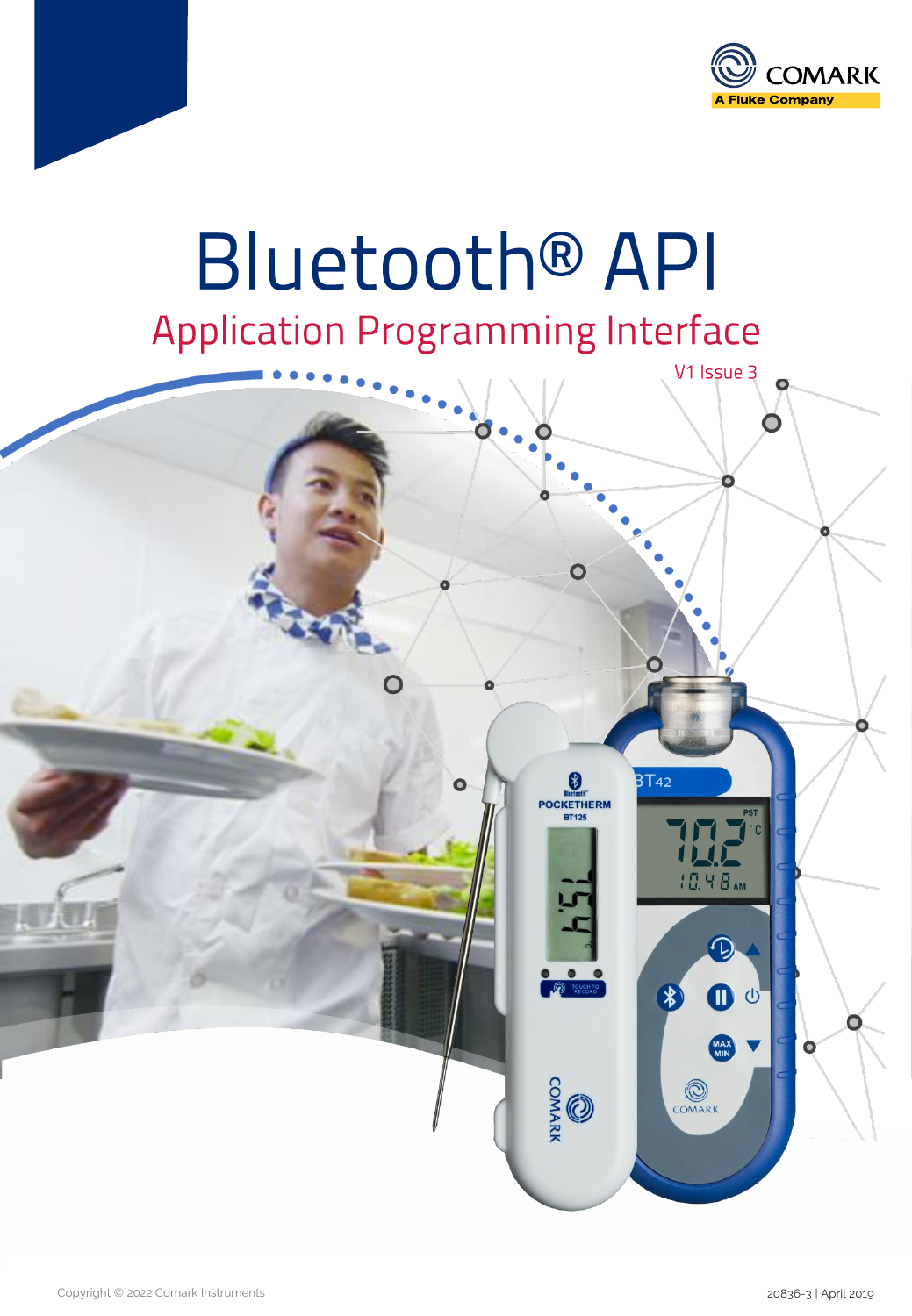

# **Bluetooth® API Application Programming Interface**

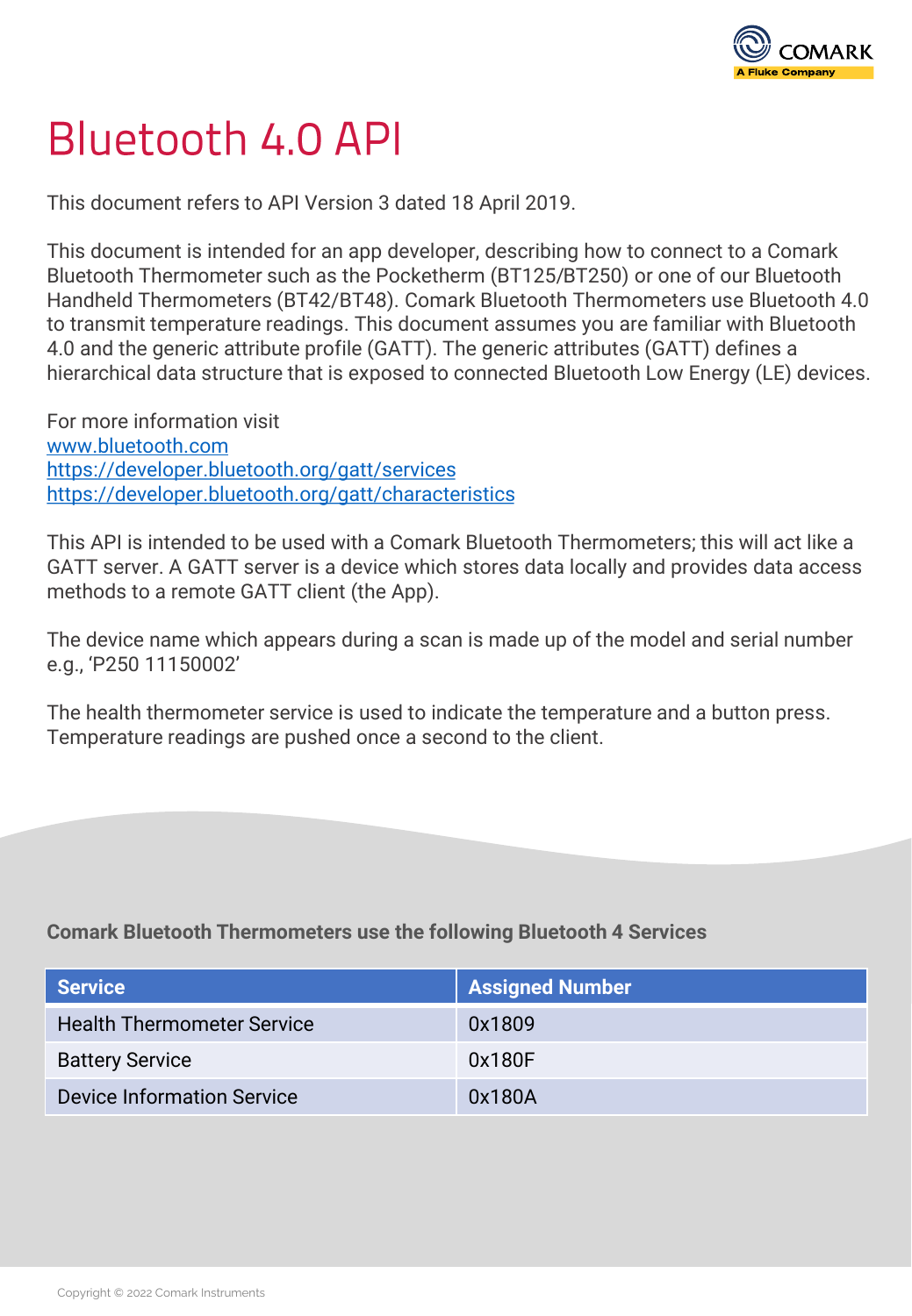

## **Bluetooth 4.0 API**

This document refers to API Version 3 dated 18 April 2019.

This document is intended for an app developer, describing how to connect to a Comark Bluetooth Thermometer such as the Pocketherm (BT125/BT250) or one of our Bluetooth Handheld Thermometers (BT42/BT48). Comark Bluetooth Thermometers use Bluetooth 4.0 to transmit temperature readings. This document assumes you are familiar with Bluetooth 4.0 and the generic attribute profile (GATT). The generic attributes (GATT) defines a hierarchical data structure that is exposed to connected Bluetooth Low Energy (LE) devices.

For more information visit [www.bluetooth.com](http://www.bluetooth.com/) <https://developer.bluetooth.org/gatt/services> <https://developer.bluetooth.org/gatt/characteristics>

This API is intended to be used with a Comark Bluetooth Thermometers; this will act like a GATT server. A GATT server is a device which stores data locally and provides data access methods to a remote GATT client (the App).

The device name which appears during a scan is made up of the model and serial number e.g., 'P250 11150002'

The health thermometer service is used to indicate the temperature and a button press. Temperature readings are pushed once a second to the client.

**Comark Bluetooth Thermometers use the following Bluetooth 4 Services**

| <b>Service</b>                    | <b>Assigned Number</b> |
|-----------------------------------|------------------------|
| <b>Health Thermometer Service</b> | 0x1809                 |
| <b>Battery Service</b>            | 0x180F                 |
| <b>Device Information Service</b> | 0x180A                 |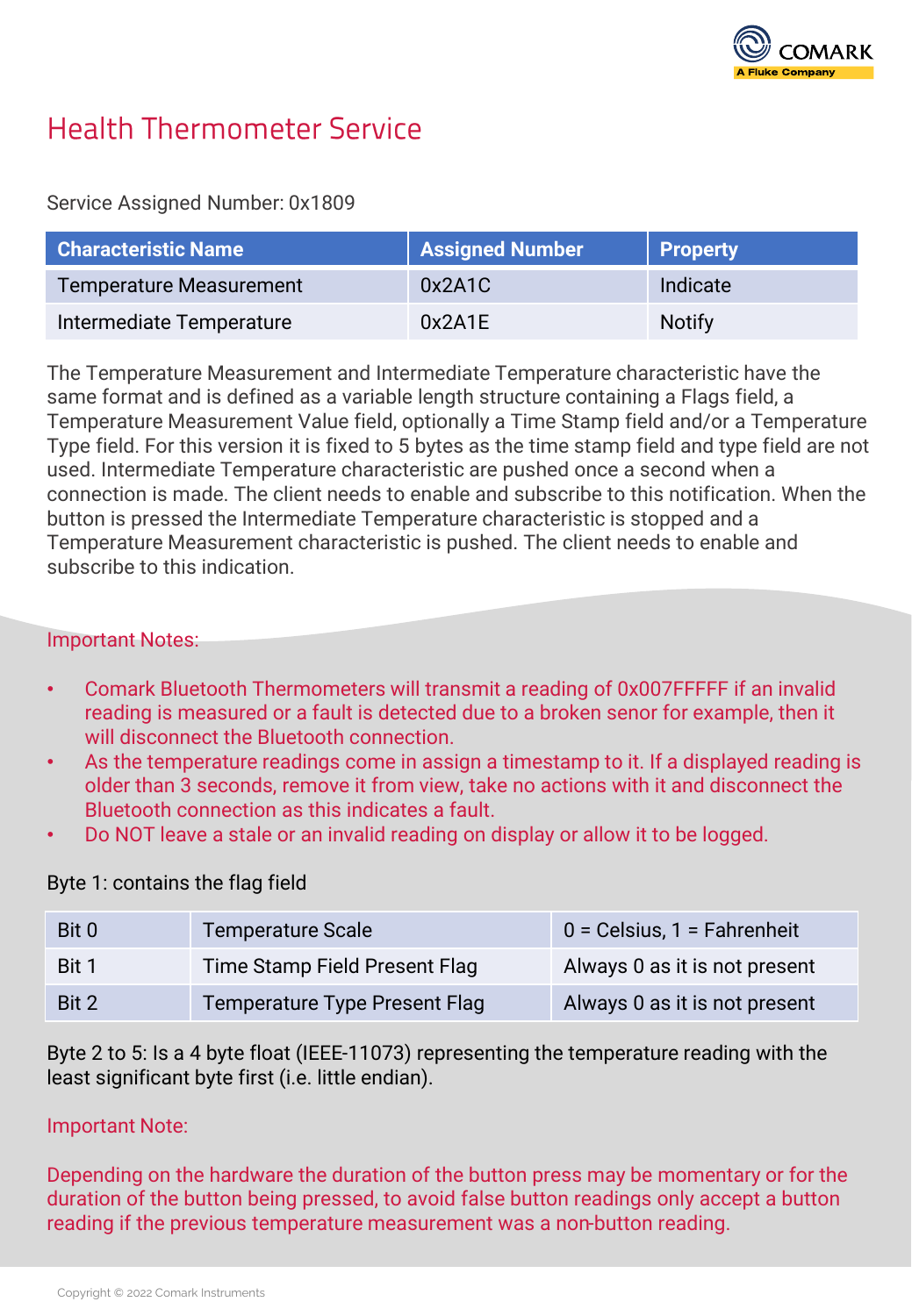

## **Health Thermometer Service**

#### Service Assigned Number: 0x1809

| <b>Characteristic Name</b>     | <b>Assigned Number</b> | <b>Property</b> |
|--------------------------------|------------------------|-----------------|
| <b>Temperature Measurement</b> | 0x2A1C                 | Indicate        |
| Intermediate Temperature       | 0x2A1E                 | <b>Notify</b>   |

The Temperature Measurement and Intermediate Temperature characteristic have the same format and is defined as a variable length structure containing a Flags field, a Temperature Measurement Value field, optionally a Time Stamp field and/or a Temperature Type field. For this version it is fixed to 5 bytes as the time stamp field and type field are not used. Intermediate Temperature characteristic are pushed once a second when a connection is made. The client needs to enable and subscribe to this notification. When the button is pressed the Intermediate Temperature characteristic is stopped and a Temperature Measurement characteristic is pushed. The client needs to enable and subscribe to this indication.

#### Important Notes:

- Comark Bluetooth Thermometers will transmit a reading of 0x007FFFFF if an invalid reading is measured or a fault is detected due to a broken senor for example, then it will disconnect the Bluetooth connection.
- As the temperature readings come in assign a timestamp to it. If a displayed reading is older than 3 seconds, remove it from view, take no actions with it and disconnect the Bluetooth connection as this indicates a fault.
- Do NOT leave a stale or an invalid reading on display or allow it to be logged.

#### Byte 1: contains the flag field

| Bit 0 | <b>Temperature Scale</b>             | $0 = Celsius, 1 = Fahrenheit$ |
|-------|--------------------------------------|-------------------------------|
| Bit 1 | Time Stamp Field Present Flag        | Always 0 as it is not present |
| Bit 2 | <b>Temperature Type Present Flag</b> | Always 0 as it is not present |

Byte 2 to 5: Is a 4 byte float (IEEE-11073) representing the temperature reading with the least significant byte first (i.e. little endian).

#### Important Note:

Depending on the hardware the duration of the button press may be momentary or for the duration of the button being pressed, to avoid false button readings only accept a button reading if the previous temperature measurement was a non-button reading.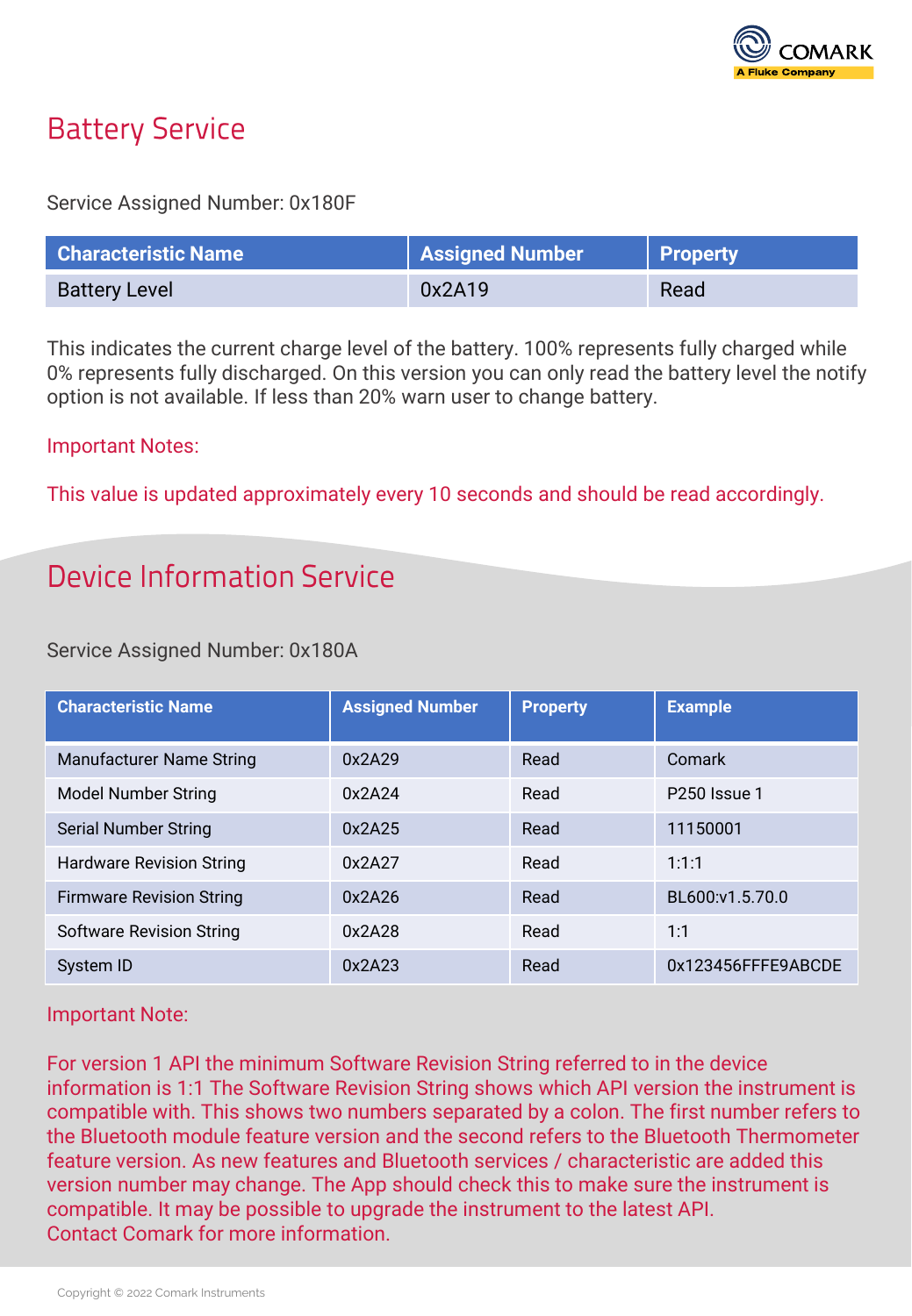

## **Battery Service**

#### Service Assigned Number: 0x180F

| <b>Characteristic Name</b> | <b>Assigned Number</b> | <b>Property</b> |
|----------------------------|------------------------|-----------------|
| <b>Battery Level</b>       | 0x2A19                 | Read            |

This indicates the current charge level of the battery. 100% represents fully charged while 0% represents fully discharged. On this version you can only read the battery level the notify option is not available. If less than 20% warn user to change battery.

#### Important Notes:

This value is updated approximately every 10 seconds and should be read accordingly.

## Device Information Service

#### Service Assigned Number: 0x180A

| <b>Characteristic Name</b>      | <b>Assigned Number</b> | <b>Property</b> | <b>Example</b>           |
|---------------------------------|------------------------|-----------------|--------------------------|
| <b>Manufacturer Name String</b> | 0x2A29                 | Read            | Comark                   |
| Model Number String             | 0x2A24                 | Read            | P <sub>250</sub> Issue 1 |
| <b>Serial Number String</b>     | 0x2A25                 | Read            | 11150001                 |
| <b>Hardware Revision String</b> | 0x2A27                 | Read            | 1:1:1                    |
| <b>Firmware Revision String</b> | 0x2A26                 | Read            | BL600:v1.5.70.0          |
| <b>Software Revision String</b> | 0x2A28                 | Read            | 1:1                      |
| System ID                       | 0x2A23                 | Read            | 0x123456FFFE9ABCDE       |

#### Important Note:

For version 1 API the minimum Software Revision String referred to in the device information is 1:1 The Software Revision String shows which API version the instrument is compatible with. This shows two numbers separated by a colon. The first number refers to the Bluetooth module feature version and the second refers to the Bluetooth Thermometer feature version. As new features and Bluetooth services / characteristic are added this version number may change. The App should check this to make sure the instrument is compatible. It may be possible to upgrade the instrument to the latest API. Contact Comark for more information.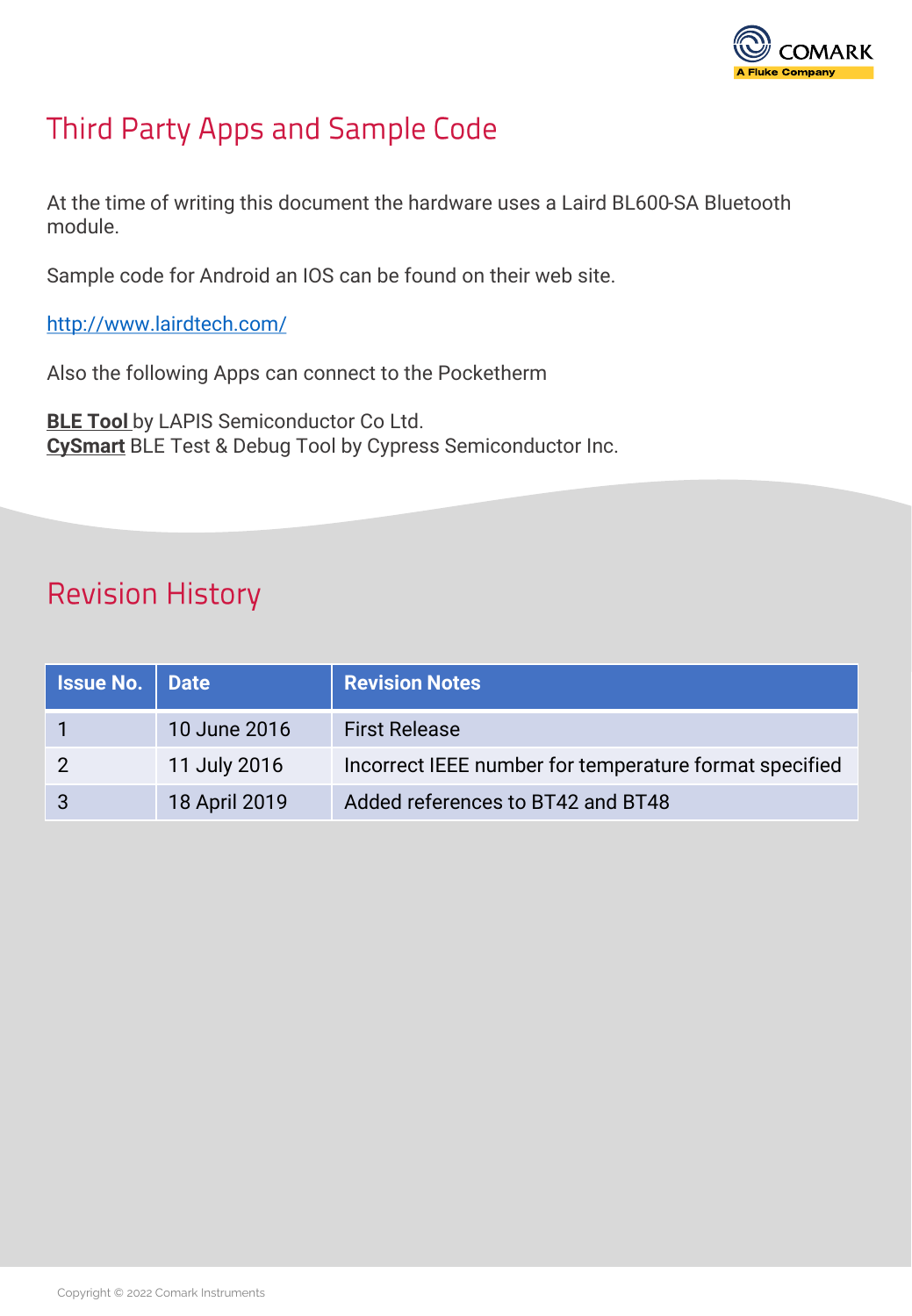

## Third Party Apps and Sample Code

At the time of writing this document the hardware uses a Laird BL600-SA Bluetooth module.

Sample code for Android an IOS can be found on their web site.

<http://www.lairdtech.com/>

Also the following Apps can connect to the Pocketherm

**BLE Tool** by LAPIS Semiconductor Co Ltd. **CySmart** BLE Test & Debug Tool by Cypress Semiconductor Inc.

## **Revision History**

| <b>Issue No.   Date</b> |               | <b>Revision Notes</b>                                  |
|-------------------------|---------------|--------------------------------------------------------|
|                         | 10 June 2016  | <b>First Release</b>                                   |
|                         | 11 July 2016  | Incorrect IEEE number for temperature format specified |
| 3                       | 18 April 2019 | Added references to BT42 and BT48                      |